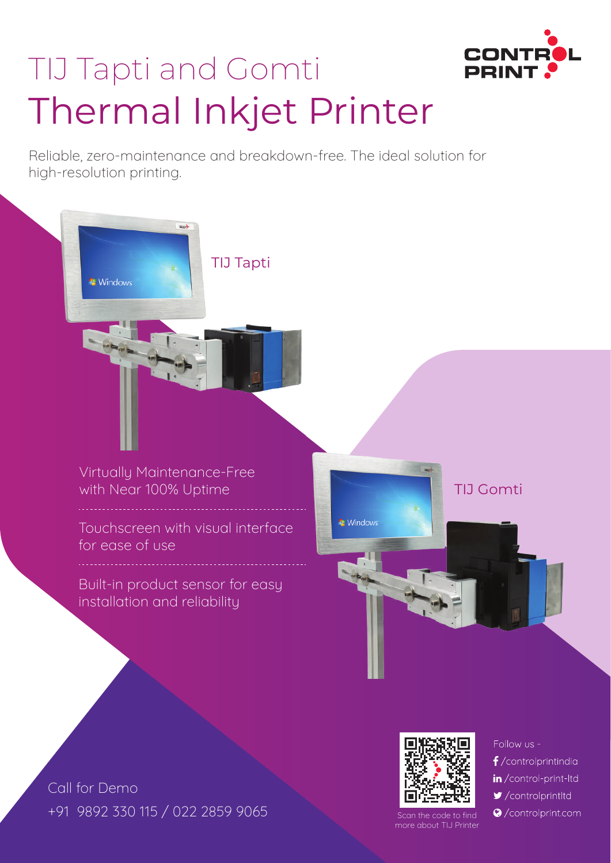

# TIJ Tapti and Gomti Thermal Inkjet Printer

Reliable, zero-maintenance and breakdown-free. The ideal solution for high-resolution printing.

TIJ Tapti

Virtually Maintenance-Free with Near 100% Uptime

**Windows** 

Touchscreen with visual interface for ease of use

Built-in product sensor for easy installation and reliability

**Windows** 

Scan the code to find more about TIJ Printe Follow us -

TIJ Gomti

- $f$ /controlprintindia
- in/control-print-ltd
- $\blacktriangleright$ /controlprintltd
- ©/controlprint.com

Call for Demo +91 9892 330 115 / 022 2859 9065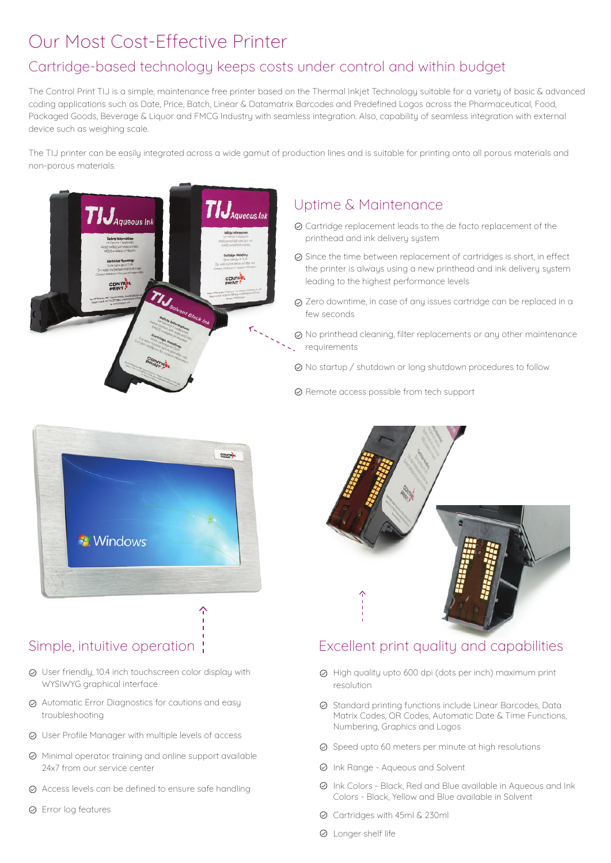# Our Most Cost-Effective Printer

### Cartridge-based technology keeps costs under control and within budget

The Control Print TIJ is a simple, maintenance free printer based on the Thermal Inkjet Technology suitable for a variety of basic & advanced coding applications such as Date, Price, Batch, Linear & Datamatrix Barcodes and Predefined Logos across the Pharmaceutical, Food, Packaged Goods, Beverage & Liquor and FMCG Industry with seamless integration. Also, capability of seamless integration with external device such as weighing scale.

The TIJ printer can be easily integrated across a wide gamut of production lines and is suitable for printing onto all porous materials and non-porous materials.



#### Uptime & Maintenance

- Cartridge replacement leads to the de facto replacement of the printhead and ink delivery system
- $\odot$  Since the time between replacement of cartridges is short, in effect the printer is always using a new printhead and ink delivery system leading to the highest performance levels
- $\oslash$  Zero downtime, in case of any issues cartridge can be replaced in a few seconds
- $\odot$  No printhead cleaning, filter replacements or any other maintenance requirements
- No startup / shutdown or long shutdown procedures to follow
- Remote access possible from tech support



#### Simple, intuitive operation:

- User friendly, 10.4 inch touchscreen color display with WYSIWYG graphical interface
- Automatic Error Diagnostics for cautions and easy troubleshooting
- User Profile Manager with multiple levels of access
- $\oslash$  Minimal operator training and online support available 24x7 from our service center
- Access levels can be defined to ensure safe handling
- Error log features



#### Excellent print quality and capabilities

- High quality upto 600 dpi (dots per inch) maximum print resolution
- $\oslash$  Standard printing functions include Linear Barcodes, Data Matrix Codes, OR Codes, Automatic Date & Time Functions, Numbering, Graphics and Logos
- $\odot$  Speed upto 60 meters per minute at high resolutions
- Ink Range Aqueous and Solvent
- $\odot$  Ink Colors Black, Red and Blue available in Aqueous and Ink Colors - Black, Yellow and Blue available in Solvent
- Cartridges with 45ml & 230ml
- Longer shelf life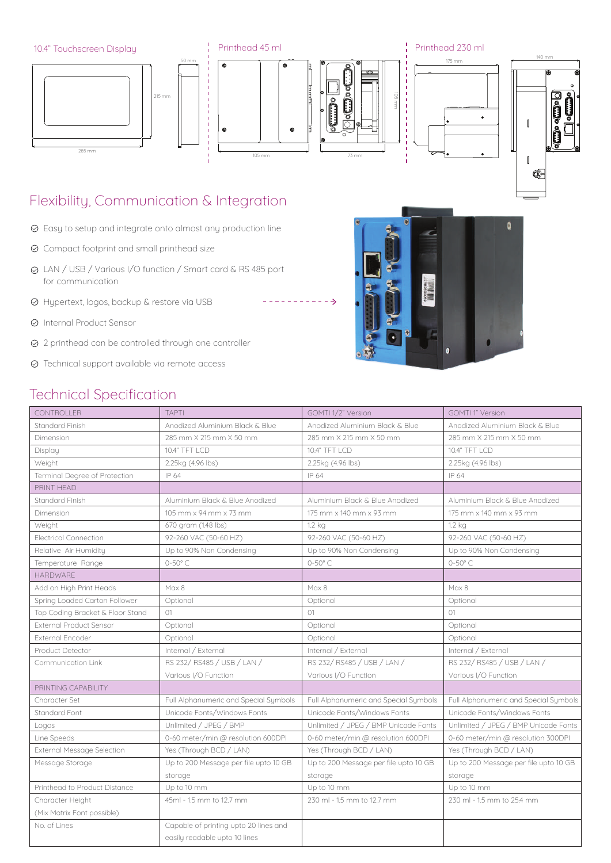

----------->

# Flexibility, Communication & Integration

- $\oslash$  Easy to setup and integrate onto almost any production line
- Compact footprint and small printhead size
- LAN / USB / Various I/O function / Smart card & RS 485 port for communication
- Hypertext, logos, backup & restore via USB
- Internal Product Sensor
- 2 printhead can be controlled through one controller
- Technical support available via remote access

## Technical Specification



| <b>CONTROLLER</b>                 | <b>TAPTI</b>                          | GOMTI 1/2" Version                    | <b>GOMTI 1" Version</b>               |
|-----------------------------------|---------------------------------------|---------------------------------------|---------------------------------------|
| Standard Finish                   | Anodized Aluminium Black & Blue       | Anodized Aluminium Black & Blue       | Anodized Aluminium Black & Blue       |
| Dimension                         | 285 mm X 215 mm X 50 mm               | 285 mm X 215 mm X 50 mm               | 285 mm X 215 mm X 50 mm               |
| Display                           | 10.4" TFT LCD                         | 10.4" TFT LCD                         | 10.4" TFT LCD                         |
| Weight                            | 2.25kg (4.96 lbs)                     | 2.25kg (4.96 lbs)                     | 2.25kg (4.96 lbs)                     |
| Terminal Degree of Protection     | IP 64                                 | IP 64                                 | IP 64                                 |
| PRINT HEAD                        |                                       |                                       |                                       |
| Standard Finish                   | Aluminium Black & Blue Anodized       | Aluminium Black & Blue Anodized       | Aluminium Black & Blue Anodized       |
| Dimension                         | 105 mm x 94 mm x 73 mm                | 175 mm x 140 mm x 93 mm               | 175 mm x 140 mm x 93 mm               |
| Weight                            | 670 gram (1.48 lbs)                   | 1.2 kg                                | $1.2$ kg                              |
| <b>Electrical Connection</b>      | 92-260 VAC (50-60 HZ)                 | 92-260 VAC (50-60 HZ)                 | 92-260 VAC (50-60 HZ)                 |
| Relative Air Humidity             | Up to 90% Non Condensing              | Up to 90% Non Condensing              | Up to 90% Non Condensing              |
| Temperature Range                 | $0-50^\circ$ C                        | $0-50^\circ$ C                        | $0-50^\circ$ C                        |
| <b>HARDWARE</b>                   |                                       |                                       |                                       |
| Add on High Print Heads           | Max 8                                 | Max 8                                 | Max 8                                 |
| Spring Loaded Carton Follower     | Optional                              | Optional                              | Optional                              |
| Top Coding Bracket & Floor Stand  | O1                                    | O <sub>1</sub>                        | O1                                    |
| <b>External Product Sensor</b>    | Optional                              | Optional                              | Optional                              |
| External Encoder                  | Optional                              | Optional                              | Optional                              |
| Product Detector                  | Internal / External                   | Internal / External                   | Internal / External                   |
| Communication Link                | RS 232/RS485 / USB / LAN /            | RS 232/RS485 / USB / LAN /            | RS 232/RS485 / USB / LAN /            |
|                                   | Various I/O Function                  | Various I/O Function                  | Various I/O Function                  |
| PRINTING CAPABILITY               |                                       |                                       |                                       |
| Character Set                     | Full Alphanumeric and Special Symbols | Full Alphanumeric and Special Symbols | Full Alphanumeric and Special Symbols |
| Standard Font                     | Unicode Fonts/Windows Fonts           | Unicode Fonts/Windows Fonts           | Unicode Fonts/Windows Fonts           |
| Logos                             | Unlimited / JPEG / BMP                | Unlimited / JPEG / BMP Unicode Fonts  | Unlimited / JPEG / BMP Unicode Fonts  |
| Line Speeds                       | 0-60 meter/min @ resolution 600DPI    | 0-60 meter/min @ resolution 600DPI    | 0-60 meter/min @ resolution 300DPI    |
| <b>External Message Selection</b> | Yes (Through BCD / LAN)               | Yes (Through BCD / LAN)               | Yes (Through BCD / LAN)               |
| Message Storage                   | Up to 200 Message per file upto 10 GB | Up to 200 Message per file upto 10 GB | Up to 200 Message per file upto 10 GB |
|                                   | storage                               | storage                               | storage                               |
| Printhead to Product Distance     | Up to 10 mm                           | Up to 10 mm                           | Up to 10 mm                           |
| Character Height                  | 45ml - 1.5 mm to 12.7 mm              | 230 ml - 1.5 mm to 12.7 mm            | 230 ml - 1.5 mm to 25.4 mm            |
| (Mix Matrix Font possible)        |                                       |                                       |                                       |
| No. of Lines                      | Capable of printing upto 20 lines and |                                       |                                       |
|                                   | easily readable upto 10 lines         |                                       |                                       |